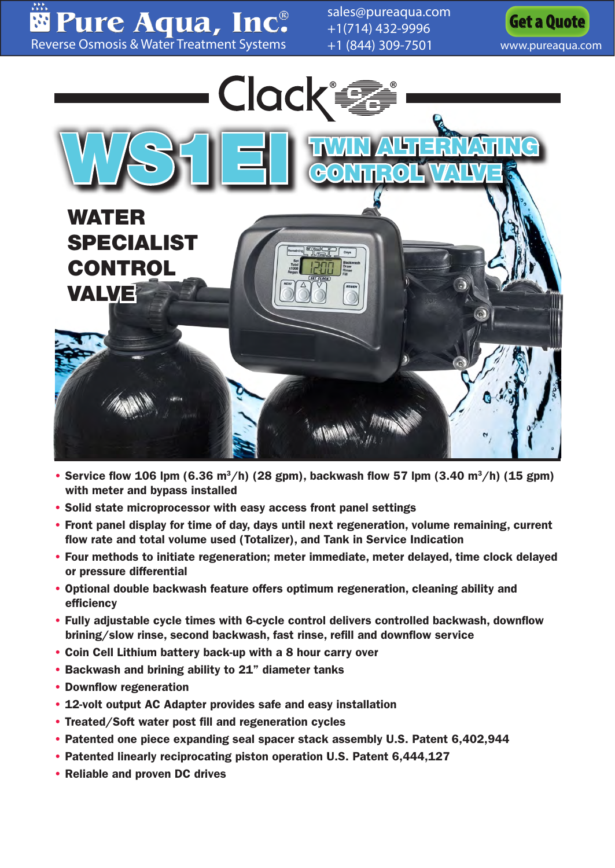Pure Aqua, Inc. [Reverse Osmosis & Water Treatment Systems](www.pureaqua.com)

[sales@pureaqua.com](mailto:sales@pureaqua.com) +1(714) 432-9996 +1 (844) 309-7501 [www.pureaqua.com](http://www.pureaqua.com/)





- Service flow 106 lpm (6.36 m<sup>3</sup>/h) (28 gpm), backwash flow 57 lpm (3.40 m<sup>3</sup>/h) (15 gpm) with meter and bypass installed
- Solid state microprocessor with easy access front panel settings
- Front panel display for time of day, days until next regeneration, volume remaining, current flow rate and total volume used (Totalizer), and Tank in Service Indication
- Four methods to initiate regeneration; meter immediate, meter delayed, time clock delayed or pressure differential
- Optional double backwash feature offers optimum regeneration, cleaning ability and efficiency
- Fully adjustable cycle times with 6-cycle control delivers controlled backwash, downflow brining/slow rinse, second backwash, fast rinse, refill and downflow service
- Coin Cell Lithium battery back-up with a 8 hour carry over
- Backwash and brining ability to 21" diameter tanks
- Downflow regeneration
- 12-volt output AC Adapter provides safe and easy installation
- Treated/Soft water post fill and regeneration cycles
- Patented one piece expanding seal spacer stack assembly U.S. Patent 6,402,944
- Patented linearly reciprocating piston operation U.S. Patent 6,444,127
- Reliable and proven DC drives